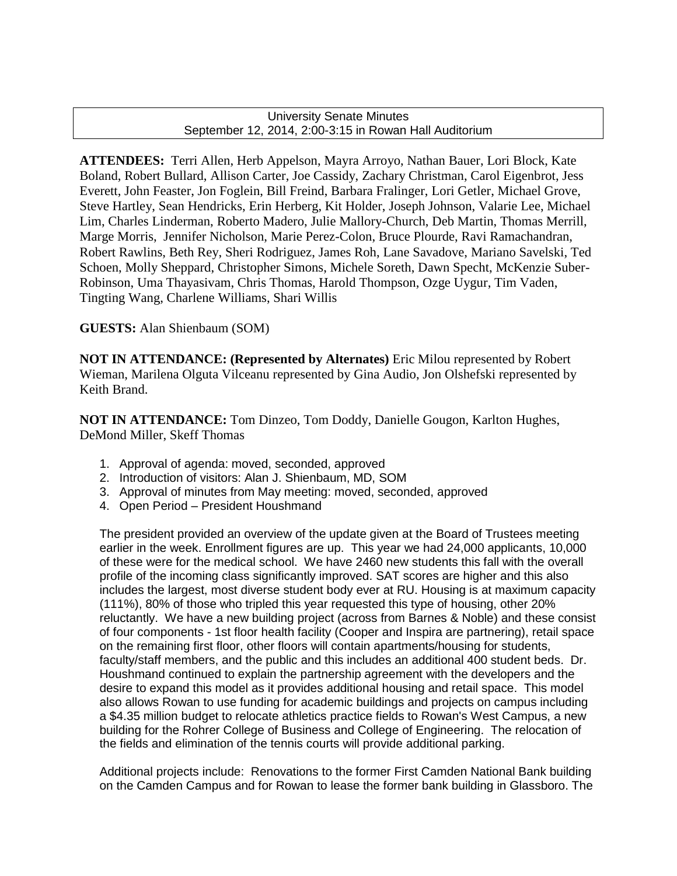# University Senate Minutes September 12, 2014, 2:00-3:15 in Rowan Hall Auditorium

**ATTENDEES:** Terri Allen, Herb Appelson, Mayra Arroyo, Nathan Bauer, Lori Block, Kate Boland, Robert Bullard, Allison Carter, Joe Cassidy, Zachary Christman, Carol Eigenbrot, Jess Everett, John Feaster, Jon Foglein, Bill Freind, Barbara Fralinger, Lori Getler, Michael Grove, Steve Hartley, Sean Hendricks, Erin Herberg, Kit Holder, Joseph Johnson, Valarie Lee, Michael Lim, Charles Linderman, Roberto Madero, Julie Mallory-Church, Deb Martin, Thomas Merrill, Marge Morris, Jennifer Nicholson, Marie Perez-Colon, Bruce Plourde, Ravi Ramachandran, Robert Rawlins, Beth Rey, Sheri Rodriguez, James Roh, Lane Savadove, Mariano Savelski, Ted Schoen, Molly Sheppard, Christopher Simons, Michele Soreth, Dawn Specht, McKenzie Suber-Robinson, Uma Thayasivam, Chris Thomas, Harold Thompson, Ozge Uygur, Tim Vaden, Tingting Wang, Charlene Williams, Shari Willis

# **GUESTS:** Alan Shienbaum (SOM)

**NOT IN ATTENDANCE: (Represented by Alternates)** Eric Milou represented by Robert Wieman, Marilena Olguta Vilceanu represented by Gina Audio, Jon Olshefski represented by Keith Brand.

**NOT IN ATTENDANCE:** Tom Dinzeo, Tom Doddy, Danielle Gougon, Karlton Hughes, DeMond Miller, Skeff Thomas

- 1. Approval of agenda: moved, seconded, approved
- 2. Introduction of visitors: Alan J. Shienbaum, MD, SOM
- 3. Approval of minutes from May meeting: moved, seconded, approved
- 4. Open Period President Houshmand

The president provided an overview of the update given at the Board of Trustees meeting earlier in the week. Enrollment figures are up. This year we had 24,000 applicants, 10,000 of these were for the medical school. We have 2460 new students this fall with the overall profile of the incoming class significantly improved. SAT scores are higher and this also includes the largest, most diverse student body ever at RU. Housing is at maximum capacity (111%), 80% of those who tripled this year requested this type of housing, other 20% reluctantly. We have a new building project (across from Barnes & Noble) and these consist of four components - 1st floor health facility (Cooper and Inspira are partnering), retail space on the remaining first floor, other floors will contain apartments/housing for students, faculty/staff members, and the public and this includes an additional 400 student beds. Dr. Houshmand continued to explain the partnership agreement with the developers and the desire to expand this model as it provides additional housing and retail space. This model also allows Rowan to use funding for academic buildings and projects on campus including a \$4.35 million budget to relocate athletics practice fields to Rowan's West Campus, a new building for the Rohrer College of Business and College of Engineering. The relocation of the fields and elimination of the tennis courts will provide additional parking.

Additional projects include: Renovations to the former First Camden National Bank building on the Camden Campus and for Rowan to lease the former bank building in Glassboro. The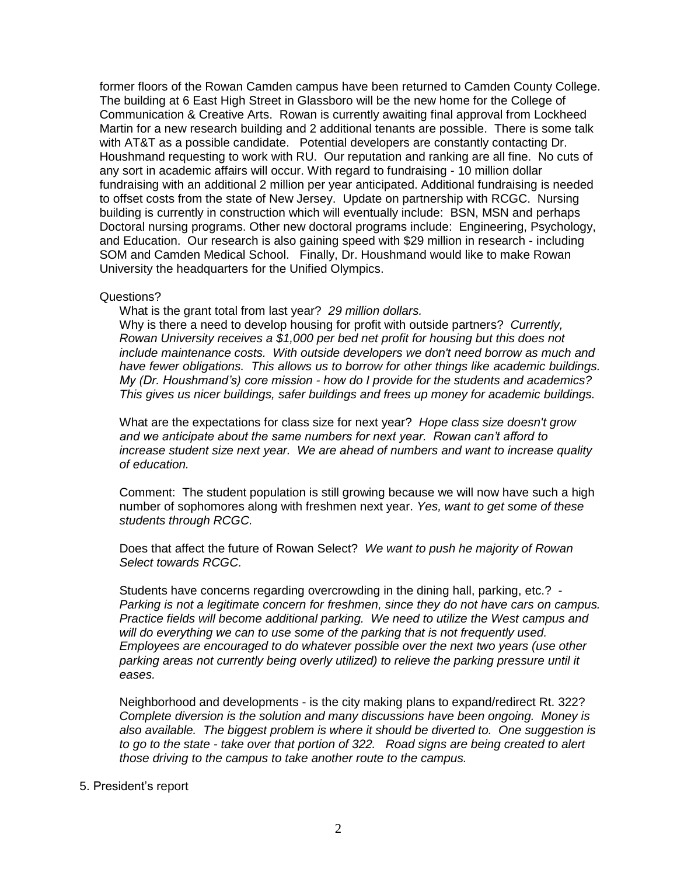former floors of the Rowan Camden campus have been returned to Camden County College. The building at 6 East High Street in Glassboro will be the new home for the College of Communication & Creative Arts. Rowan is currently awaiting final approval from Lockheed Martin for a new research building and 2 additional tenants are possible. There is some talk with AT&T as a possible candidate. Potential developers are constantly contacting Dr. Houshmand requesting to work with RU. Our reputation and ranking are all fine. No cuts of any sort in academic affairs will occur. With regard to fundraising - 10 million dollar fundraising with an additional 2 million per year anticipated. Additional fundraising is needed to offset costs from the state of New Jersey. Update on partnership with RCGC. Nursing building is currently in construction which will eventually include: BSN, MSN and perhaps Doctoral nursing programs. Other new doctoral programs include: Engineering, Psychology, and Education. Our research is also gaining speed with \$29 million in research - including SOM and Camden Medical School. Finally, Dr. Houshmand would like to make Rowan University the headquarters for the Unified Olympics.

#### Questions?

What is the grant total from last year? *29 million dollars.*

Why is there a need to develop housing for profit with outside partners? *Currently, Rowan University receives a \$1,000 per bed net profit for housing but this does not include maintenance costs. With outside developers we don't need borrow as much and have fewer obligations. This allows us to borrow for other things like academic buildings. My (Dr. Houshmand's) core mission - how do I provide for the students and academics? This gives us nicer buildings, safer buildings and frees up money for academic buildings.*

What are the expectations for class size for next year? *Hope class size doesn't grow and we anticipate about the same numbers for next year. Rowan can't afford to increase student size next year. We are ahead of numbers and want to increase quality of education.* 

Comment: The student population is still growing because we will now have such a high number of sophomores along with freshmen next year. *Yes, want to get some of these students through RCGC.* 

Does that affect the future of Rowan Select? *We want to push he majority of Rowan Select towards RCGC.*

Students have concerns regarding overcrowding in the dining hall, parking, etc.? - *Parking is not a legitimate concern for freshmen, since they do not have cars on campus. Practice fields will become additional parking. We need to utilize the West campus and will do everything we can to use some of the parking that is not frequently used. Employees are encouraged to do whatever possible over the next two years (use other parking areas not currently being overly utilized) to relieve the parking pressure until it eases.*

Neighborhood and developments - is the city making plans to expand/redirect Rt. 322? *Complete diversion is the solution and many discussions have been ongoing. Money is also available. The biggest problem is where it should be diverted to. One suggestion is to go to the state - take over that portion of 322. Road signs are being created to alert those driving to the campus to take another route to the campus.*

## 5. President's report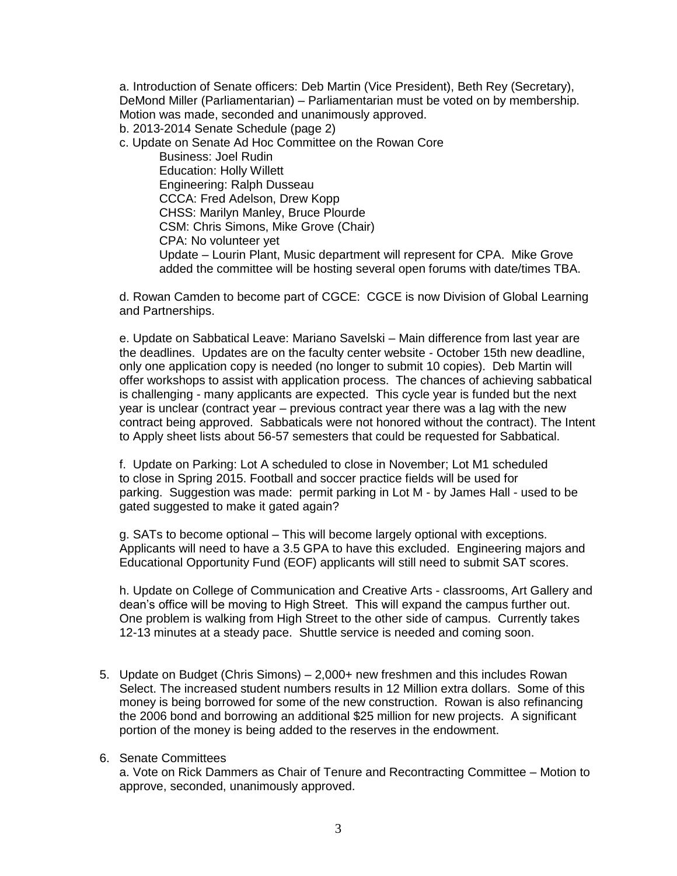a. Introduction of Senate officers: Deb Martin (Vice President), Beth Rey (Secretary), DeMond Miller (Parliamentarian) – Parliamentarian must be voted on by membership. Motion was made, seconded and unanimously approved.

b. 2013-2014 Senate Schedule (page 2)

c. Update on Senate Ad Hoc Committee on the Rowan Core

Business: Joel Rudin Education: Holly Willett Engineering: Ralph Dusseau CCCA: Fred Adelson, Drew Kopp CHSS: Marilyn Manley, Bruce Plourde CSM: Chris Simons, Mike Grove (Chair) CPA: No volunteer yet Update – Lourin Plant, Music department will represent for CPA. Mike Grove added the committee will be hosting several open forums with date/times TBA.

d. Rowan Camden to become part of CGCE: CGCE is now Division of Global Learning and Partnerships.

e. Update on Sabbatical Leave: Mariano Savelski – Main difference from last year are the deadlines. Updates are on the faculty center website - October 15th new deadline, only one application copy is needed (no longer to submit 10 copies). Deb Martin will offer workshops to assist with application process. The chances of achieving sabbatical is challenging - many applicants are expected. This cycle year is funded but the next year is unclear (contract year – previous contract year there was a lag with the new contract being approved. Sabbaticals were not honored without the contract). The Intent to Apply sheet lists about 56-57 semesters that could be requested for Sabbatical.

f. Update on Parking: Lot A scheduled to close in November; Lot M1 scheduled to close in Spring 2015. Football and soccer practice fields will be used for parking. Suggestion was made: permit parking in Lot M - by James Hall - used to be gated suggested to make it gated again?

g. SATs to become optional – This will become largely optional with exceptions. Applicants will need to have a 3.5 GPA to have this excluded. Engineering majors and Educational Opportunity Fund (EOF) applicants will still need to submit SAT scores.

h. Update on College of Communication and Creative Arts - classrooms, Art Gallery and dean's office will be moving to High Street. This will expand the campus further out. One problem is walking from High Street to the other side of campus. Currently takes 12-13 minutes at a steady pace. Shuttle service is needed and coming soon.

5. Update on Budget (Chris Simons) – 2,000+ new freshmen and this includes Rowan Select. The increased student numbers results in 12 Million extra dollars. Some of this money is being borrowed for some of the new construction. Rowan is also refinancing the 2006 bond and borrowing an additional \$25 million for new projects. A significant portion of the money is being added to the reserves in the endowment.

## 6. Senate Committees

a. Vote on Rick Dammers as Chair of Tenure and Recontracting Committee – Motion to approve, seconded, unanimously approved.